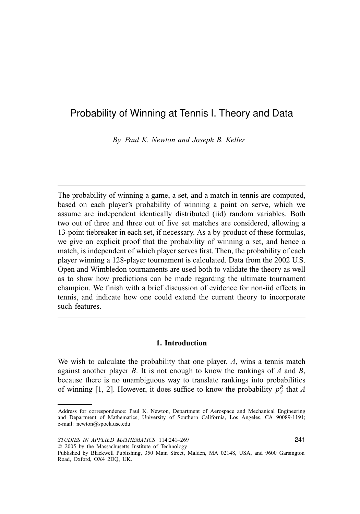# Probability of Winning at Tennis I. Theory and Data

*By Paul K. Newton and Joseph B. Keller*

The probability of winning a game, a set, and a match in tennis are computed, based on each player's probability of winning a point on serve, which we assume are independent identically distributed (iid) random variables. Both two out of three and three out of five set matches are considered, allowing a 13-point tiebreaker in each set, if necessary. As a by-product of these formulas, we give an explicit proof that the probability of winning a set, and hence a match, is independent of which player serves first. Then, the probability of each player winning a 128-player tournament is calculated. Data from the 2002 U.S. Open and Wimbledon tournaments are used both to validate the theory as well as to show how predictions can be made regarding the ultimate tournament champion. We finish with a brief discussion of evidence for non-iid effects in tennis, and indicate how one could extend the current theory to incorporate such features.

## **1. Introduction**

We wish to calculate the probability that one player, *A*, wins a tennis match against another player *B*. It is not enough to know the rankings of *A* and *B*, because there is no unambiguous way to translate rankings into probabilities of winning [1, 2]. However, it does suffice to know the probability  $p_A^R$  that *A* 

Address for correspondence: Paul K. Newton, Department of Aerospace and Mechanical Engineering and Department of Mathematics, University of Southern California, Los Angeles, CA 90089-1191; e-mail: newton@spock.usc.edu

Published by Blackwell Publishing, 350 Main Street, Malden, MA 02148, USA, and 9600 Garsington Road, Oxford, OX4 2DQ, UK.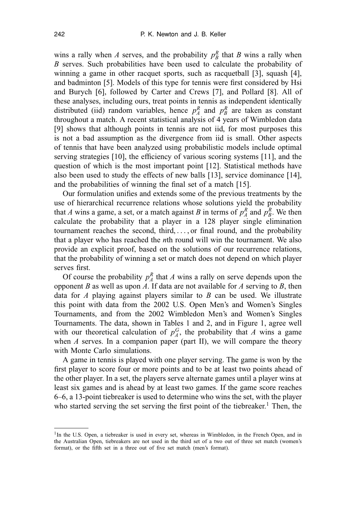wins a rally when *A* serves, and the probability  $p_B^R$  that *B* wins a rally when *B* serves. Such probabilities have been used to calculate the probability of winning a game in other racquet sports, such as racquetball [3], squash [4], and badminton [5]. Models of this type for tennis were first considered by Hsi and Burych [6], followed by Carter and Crews [7], and Pollard [8]. All of these analyses, including ours, treat points in tennis as independent identically distributed (iid) random variables, hence  $p_A^R$  and  $p_B^R$  are taken as constant throughout a match. A recent statistical analysis of 4 years of Wimbledon data [9] shows that although points in tennis are not iid, for most purposes this is not a bad assumption as the divergence from iid is small. Other aspects of tennis that have been analyzed using probabilistic models include optimal serving strategies [10], the efficiency of various scoring systems [11], and the question of which is the most important point [12]. Statistical methods have also been used to study the effects of new balls [13], service dominance [14], and the probabilities of winning the final set of a match [15].

Our formulation unifies and extends some of the previous treatments by the use of hierarchical recurrence relations whose solutions yield the probability that *A* wins a game, a set, or a match against *B* in terms of  $p_A^R$  and  $p_B^R$ . We then calculate the probability that a player in a 128 player single elimination tournament reaches the second, third, ... , or final round, and the probability that a player who has reached the *n*th round will win the tournament. We also provide an explicit proof, based on the solutions of our recurrence relations, that the probability of winning a set or match does not depend on which player serves first.

Of course the probability  $p_A^R$  that *A* wins a rally on serve depends upon the opponent *B* as well as upon *A*. If data are not available for *A* serving to *B*, then data for *A* playing against players similar to *B* can be used. We illustrate this point with data from the 2002 U.S. Open Men's and Women's Singles Tournaments, and from the 2002 Wimbledon Men's and Women's Singles Tournaments. The data, shown in Tables 1 and 2, and in Figure 1, agree well with our theoretical calculation of  $p_A^G$ , the probability that *A* wins a game when *A* serves. In a companion paper (part II), we will compare the theory with Monte Carlo simulations.

A game in tennis is played with one player serving. The game is won by the first player to score four or more points and to be at least two points ahead of the other player. In a set, the players serve alternate games until a player wins at least six games and is ahead by at least two games. If the game score reaches 6–6, a 13-point tiebreaker is used to determine who wins the set, with the player who started serving the set serving the first point of the tiebreaker.<sup>1</sup> Then, the

<sup>&</sup>lt;sup>1</sup>In the U.S. Open, a tiebreaker is used in every set, whereas in Wimbledon, in the French Open, and in the Australian Open, tiebreakers are not used in the third set of a two out of three set match (women's format), or the fifth set in a three out of five set match (men's format).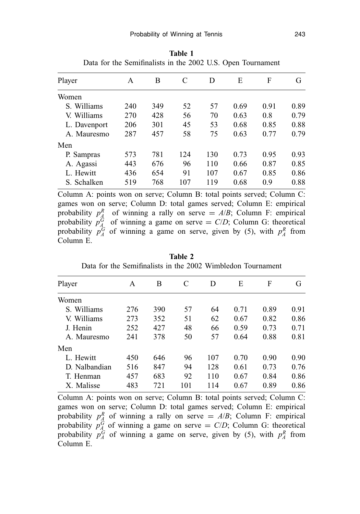| Player       | A   | В   | C   | D   | E    | F    | G    |
|--------------|-----|-----|-----|-----|------|------|------|
| Women        |     |     |     |     |      |      |      |
| S. Williams  | 240 | 349 | 52  | 57  | 0.69 | 0.91 | 0.89 |
| V. Williams  | 270 | 428 | 56  | 70  | 0.63 | 0.8  | 0.79 |
| L. Davenport | 206 | 301 | 45  | 53  | 0.68 | 0.85 | 0.88 |
| A. Mauresmo  | 287 | 457 | 58  | 75  | 0.63 | 0.77 | 0.79 |
| Men          |     |     |     |     |      |      |      |
| P. Sampras   | 573 | 781 | 124 | 130 | 0.73 | 0.95 | 0.93 |
| A. Agassi    | 443 | 676 | 96  | 110 | 0.66 | 0.87 | 0.85 |
| L. Hewitt    | 436 | 654 | 91  | 107 | 0.67 | 0.85 | 0.86 |
| S. Schalken  | 519 | 768 | 107 | 119 | 0.68 | 0.9  | 0.88 |

**Table 1** Data for the Semifinalists in the 2002 U.S. Open Tournament

Column A: points won on serve; Column B: total points served; Column C: games won on serve; Column D: total games served; Column E: empirical probability  $p_A^R$  of winning a rally on serve =  $A/B$ ; Column F: empirical probability  $p_A^G$  of winning a game on serve = *C*/*D*; Column G: theoretical probability  $p_A^G$  of winning a game on serve, given by (5), with  $p_A^R$  from Column E.

| Player        | А   | В   | C   | D   | Е    | F    | G    |
|---------------|-----|-----|-----|-----|------|------|------|
| Women         |     |     |     |     |      |      |      |
| S. Williams   | 276 | 390 | 57  | 64  | 0.71 | 0.89 | 0.91 |
| V. Williams   | 273 | 352 | 51  | 62  | 0.67 | 0.82 | 0.86 |
| J. Henin      | 252 | 427 | 48  | 66  | 0.59 | 0.73 | 0.71 |
| A. Mauresmo   | 241 | 378 | 50  | 57  | 0.64 | 0.88 | 0.81 |
| Men           |     |     |     |     |      |      |      |
| L. Hewitt     | 450 | 646 | 96  | 107 | 0.70 | 0.90 | 0.90 |
| D. Nalbandian | 516 | 847 | 94  | 128 | 0.61 | 0.73 | 0.76 |
| T. Henman     | 457 | 683 | 92  | 110 | 0.67 | 0.84 | 0.86 |
| X. Malisse    | 483 | 721 | 101 | 114 | 0.67 | 0.89 | 0.86 |

**Table 2** Data for the Semifinalists in the 2002 Wimbledon Tournament

Column A: points won on serve; Column B: total points served; Column C: games won on serve; Column D: total games served; Column E: empirical probability  $p_A^R$  of winning a rally on serve =  $A/B$ ; Column F: empirical probability  $p_A^{\tilde{G}}$  of winning a game on serve =  $C/D$ ; Column G: theoretical probability  $p_A^G$  of winning a game on serve, given by (5), with  $p_A^R$  from Column E.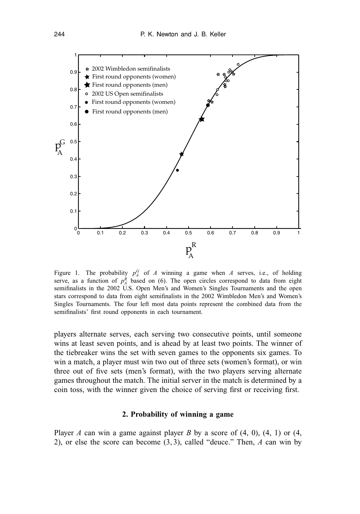

Figure 1. The probability  $p_A^G$  of *A* winning a game when *A* serves, i.e., of holding serve, as a function of  $p_A^R$  based on (6). The open circles correspond to data from eight semifinalists in the 2002 U.S. Open Men's and Women's Singles Tournaments and the open stars correspond to data from eight semifinalists in the 2002 Wimbledon Men's and Women's Singles Tournaments. The four left most data points represent the combined data from the semifinalists' first round opponents in each tournament.

players alternate serves, each serving two consecutive points, until someone wins at least seven points, and is ahead by at least two points. The winner of the tiebreaker wins the set with seven games to the opponents six games. To win a match, a player must win two out of three sets (women's format), or win three out of five sets (men's format), with the two players serving alternate games throughout the match. The initial server in the match is determined by a coin toss, with the winner given the choice of serving first or receiving first.

#### **2. Probability of winning a game**

Player *A* can win a game against player *B* by a score of  $(4, 0)$ ,  $(4, 1)$  or  $(4, 1)$ 2), or else the score can become (3, 3), called "deuce." Then, *A* can win by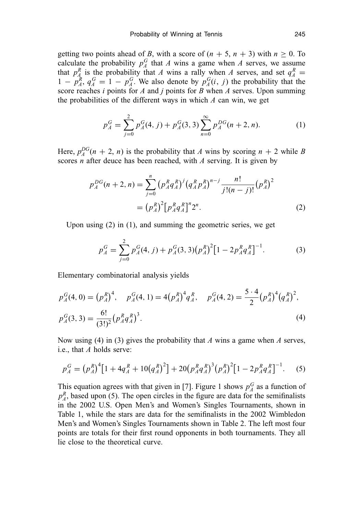getting two points ahead of *B*, with a score of  $(n + 5, n + 3)$  with  $n \ge 0$ . To calculate the probability  $p_A^G$  that *A* wins a game when *A* serves, we assume that  $p_A^R$  is the probability that *A* wins a rally when *A* serves, and set  $q_A^R$  =  $1 - p_A^R$ ,  $q_A^G = 1 - p_A^G$ . We also denote by  $p_A^G(i, j)$  the probability that the score reaches *i* points for *A* and *j* points for *B* when *A* serves. Upon summing the probabilities of the different ways in which *A* can win, we get

$$
p_A^G = \sum_{j=0}^{2} p_A^G(4, j) + p_A^G(3, 3) \sum_{n=0}^{\infty} p_A^{DG}(n+2, n).
$$
 (1)

Here,  $p_A^{DG}(n+2, n)$  is the probability that *A* wins by scoring  $n + 2$  while *B* scores *n* after deuce has been reached, with *A* serving. It is given by

$$
p_A^{DG}(n+2,n) = \sum_{j=0}^n (p_A^R q_A^R)^j (q_A^R p_A^R)^{n-j} \frac{n!}{j!(n-j)!} (p_A^R)^2
$$
  
=  $(p_A^R)^2 [p_A^R q_A^R]^n 2^n$ . (2)

Upon using (2) in (1), and summing the geometric series, we get

$$
p_A^G = \sum_{j=0}^2 p_A^G(4, j) + p_A^G(3, 3)(p_A^R)^2 [1 - 2p_A^R q_A^R]^{-1}.
$$
 (3)

Elementary combinatorial analysis yields

$$
p_A^G(4, 0) = (p_A^R)^4, \quad p_A^G(4, 1) = 4(p_A^R)^4 q_A^R, \quad p_A^G(4, 2) = \frac{5 \cdot 4}{2} (p_A^R)^4 (q_A^R)^2,
$$
  

$$
p_A^G(3, 3) = \frac{6!}{(3!)^2} (p_A^R q_A^R)^3.
$$
 (4)

Now using (4) in (3) gives the probability that *A* wins a game when *A* serves, i.e., that *A* holds serve:

$$
p_A^G = (p_A^R)^4 \left[ 1 + 4q_A^R + 10(q_A^R)^2 \right] + 20(p_A^R q_A^R)^3 (p_A^R)^2 \left[ 1 - 2p_A^R q_A^R \right]^{-1}.
$$
 (5)

This equation agrees with that given in [7]. Figure 1 shows  $p_A^G$  as a function of  $p_A^R$ , based upon (5). The open circles in the figure are data for the semifinalists in the 2002 U.S. Open Men's and Women's Singles Tournaments, shown in Table 1, while the stars are data for the semifinalists in the 2002 Wimbledon Men's and Women's Singles Tournaments shown in Table 2. The left most four points are totals for their first round opponents in both tournaments. They all lie close to the theoretical curve.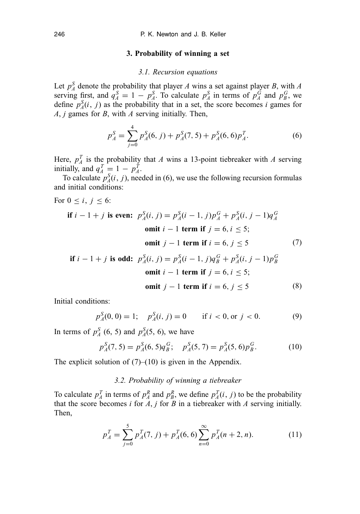#### **3. Probability of winning a set**

#### *3.1. Recursion equations*

Let  $p_A^S$  denote the probability that player *A* wins a set against player *B*, with *A* serving first, and  $q_A^S = 1 - p_A^S$ . To calculate  $p_A^S$  in terms of  $p_A^G$  and  $p_B^G$ , we define  $p_A^S(i, j)$  as the probability that in a set, the score becomes *i* games for *A*, *j* games for *B*, with *A* serving initially. Then,

$$
p_A^S = \sum_{j=0}^4 p_A^S(6, j) + p_A^S(7, 5) + p_A^S(6, 6)p_A^T.
$$
 (6)

Here,  $p_A^T$  is the probability that *A* wins a 13-point tiebreaker with *A* serving initially, and  $q_A^T = 1 - p_A^T$ .

To calculate  $p_A^S(i, j)$ , needed in (6), we use the following recursion formulas and initial conditions:

For  $0 \le i, j \le 6$ :

\n if 
$$
i - 1 + j
$$
 is even: \n  $p_A^S(i, j) = p_A^S(i - 1, j)p_A^G + p_A^S(i, j - 1)q_A^G$ \n

\n\n omit  $i - 1$  term if  $j = 6, i \leq 5$ ;\n

\n\n omit  $j - 1$  term if  $i = 6, j \leq 5$ \n

\n\n if  $i - 1 + j$  is odd: \n  $p_A^S(i, j) = p_A^S(i - 1, j)q_B^G + p_A^S(i, j - 1)p_B^G$ \n

if 
$$
i - 1 + j
$$
 is odd:  $p_A^0(i, j) = p_A^0(i - 1, j)q_B^0 + p_A^0(i, j - 1)p_B^0$   
omit  $i - 1$  term if  $j = 6, i \le 5$ ;  
omit  $j - 1$  term if  $i = 6, j \le 5$  (8)

Initial conditions:

$$
p_A^S(0,0) = 1;
$$
  $p_A^S(i, j) = 0$  if  $i < 0$ , or  $j < 0$ . (9)

In terms of  $p_A^S$  (6, 5) and  $p_A^S$ (5, 6), we have

$$
p_A^S(7,5) = p_A^S(6,5)q_B^G; \quad p_A^S(5,7) = p_A^S(5,6)p_B^G.
$$
 (10)

The explicit solution of  $(7)$ – $(10)$  is given in the Appendix.

## *3.2. Probability of winning a tiebreaker*

To calculate  $p_A^T$  in terms of  $p_A^R$  and  $p_B^R$ , we define  $p_A^T(i, j)$  to be the probability that the score becomes *i* for  $\overline{A}$ , *j* for  $\overline{B}$  in a tiebreaker with  $\overline{A}$  serving initially. Then,

$$
p_A^T = \sum_{j=0}^5 p_A^T(7, j) + p_A^T(6, 6) \sum_{n=0}^\infty p_A^T(n+2, n). \tag{11}
$$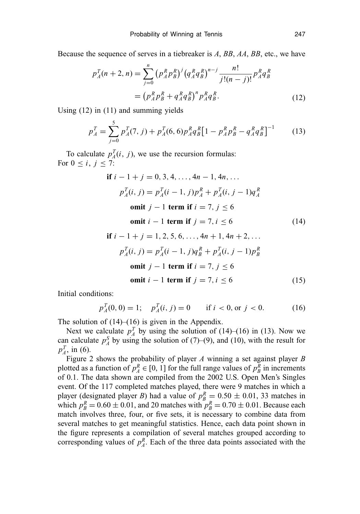Because the sequence of serves in a tiebreaker is *A*, *BB*, *AA*, *BB*, etc., we have

$$
p_A^T(n+2,n) = \sum_{j=0}^n (p_A^R p_B^R)^j (q_A^R q_B^R)^{n-j} \frac{n!}{j!(n-j)!} p_A^R q_B^R
$$
  
= 
$$
(p_A^R p_B^R + q_A^R q_B^R)^n p_A^R q_B^R.
$$
 (12)

Using (12) in (11) and summing yields

$$
p_A^T = \sum_{j=0}^5 p_A^T(7, j) + p_A^T(6, 6) p_A^R q_B^R \left[ 1 - p_A^R p_B^R - q_A^R q_B^R \right]^{-1}
$$
 (13)

To calculate  $p_A^T(i, j)$ , we use the recursion formulas: For  $0 \le i, j \le 7$ :

$$
\text{if } i - 1 + j = 0, 3, 4, \dots, 4n - 1, 4n, \dots
$$
\n
$$
p_A^T(i, j) = p_A^T(i - 1, j)p_A^R + p_A^T(i, j - 1)q_A^R
$$
\n
$$
\text{omit } j - 1 \text{ term if } i = 7, j \le 6
$$
\n
$$
\text{omit } i - 1 \text{ term if } j = 7, i \le 6 \tag{14}
$$

$$
\text{if } i - 1 + j = 1, 2, 5, 6, \dots, 4n + 1, 4n + 2, \dots
$$
\n
$$
p_A^T(i, j) = p_A^T(i - 1, j)q_B^R + p_A^T(i, j - 1)p_B^R
$$
\n
$$
\text{omit } j - 1 \text{ term if } i = 7, j \le 6
$$
\n
$$
\text{omit } i - 1 \text{ term if } j = 7, i \le 6 \tag{15}
$$

Initial conditions:

$$
p_A^T(0,0) = 1; \quad p_A^T(i,j) = 0 \qquad \text{if } i < 0 \text{, or } j < 0. \tag{16}
$$

The solution of  $(14)$ – $(16)$  is given in the Appendix.

Next we calculate  $p_A^T$  by using the solution of (14)–(16) in (13). Now we can calculate  $p_A^S$  by using the solution of (7)–(9), and (10), with the result for  $p_A^T$ , in (6).

Figure 2 shows the probability of player *A* winning a set against player *B* plotted as a function of  $p_A^R \in [0, 1]$  for the full range values of  $p_B^R$  in increments of 0.1. The data shown are compiled from the 2002 U.S. Open Men's Singles event. Of the 117 completed matches played, there were 9 matches in which a player (designated player *B*) had a value of  $p_B^R = 0.50 \pm 0.01$ , 33 matches in which  $p_B^R = 0.60 \pm 0.01$ , and 20 matches with  $p_B^R = 0.70 \pm 0.01$ . Because each match involves three, four, or five sets, it is necessary to combine data from several matches to get meaningful statistics. Hence, each data point shown in the figure represents a compilation of several matches grouped according to corresponding values of  $p_A^R$ . Each of the three data points associated with the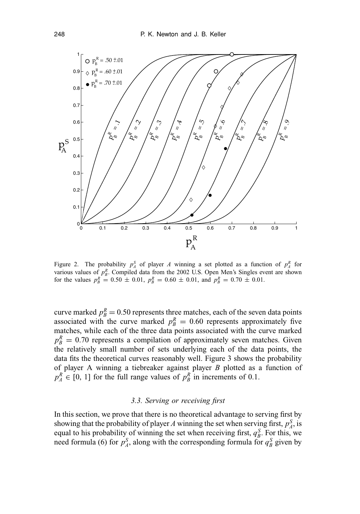

Figure 2. The probability  $p_A^S$  of player *A* winning a set plotted as a function of  $p_A^R$  for various values of  $p_B^R$ . Compiled data from the 2002 U.S. Open Men's Singles event are shown for the values  $p_B^R = 0.50 \pm 0.01$ ,  $p_B^R = 0.60 \pm 0.01$ , and  $p_B^R = 0.70 \pm 0.01$ .

curve marked  $p_B^R = 0.50$  represents three matches, each of the seven data points associated with the curve marked  $p_B^R = 0.60$  represents approximately five matches, while each of the three data points associated with the curve marked  $p_B^R = 0.70$  represents a compilation of approximately seven matches. Given the relatively small number of sets underlying each of the data points, the data fits the theoretical curves reasonably well. Figure 3 shows the probability of player A winning a tiebreaker against player *B* plotted as a function of  $p_A^R \in [0, 1]$  for the full range values of  $p_B^R$  in increments of 0.1.

## *3.3. Serving or receiving first*

In this section, we prove that there is no theoretical advantage to serving first by showing that the probability of player *A* winning the set when serving first,  $p_A^S$ , is equal to his probability of winning the set when receiving first,  $q_B^S$ . For this, we need formula (6) for  $p_A^S$ , along with the corresponding formula for  $q_B^S$  given by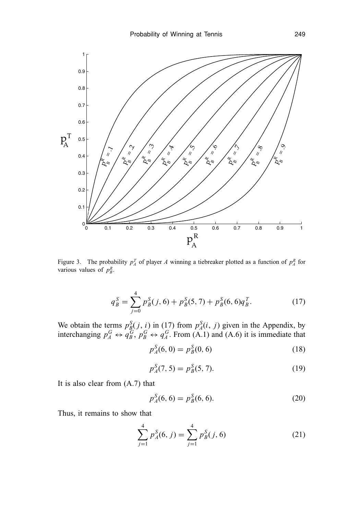

Figure 3. The probability  $p_A^T$  of player *A* winning a tiebreaker plotted as a function of  $p_A^R$  for various values of  $p_B^R$ .

$$
q_B^S = \sum_{j=0}^4 p_B^S(j, 6) + p_B^S(5, 7) + p_B^S(6, 6)q_B^T.
$$
 (17)

We obtain the terms  $p_B^S(j, i)$  in (17) from  $p_A^S(i, j)$  given in the Appendix, by interchanging  $p_A^G \leftrightarrow q_B^G$ ,  $p_B^G \leftrightarrow q_A^G$ . From (A.1) and (A.6) it is immediate that

$$
p_A^S(6,0) = p_B^S(0,6)
$$
 (18)

$$
p_A^S(7,5) = p_B^S(5,7). \tag{19}
$$

It is also clear from (A.7) that

$$
p_A^S(6,6) = p_B^S(6,6).
$$
 (20)

Thus, it remains to show that

$$
\sum_{j=1}^{4} p_A^S(6, j) = \sum_{j=1}^{4} p_B^S(j, 6)
$$
 (21)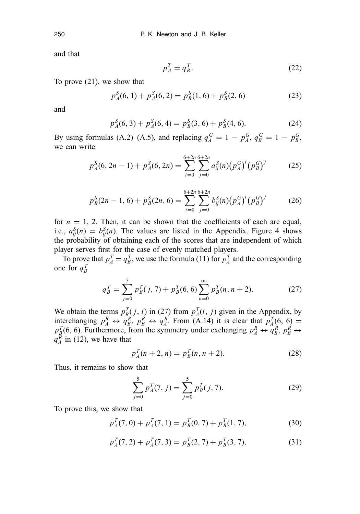and that

$$
p_A^T = q_B^T. \tag{22}
$$

To prove (21), we show that

$$
p_A^S(6, 1) + p_A^S(6, 2) = p_B^S(1, 6) + p_B^S(2, 6)
$$
 (23)

and

$$
p_A^S(6,3) + p_A^S(6,4) = p_B^S(3,6) + p_B^S(4,6). \tag{24}
$$

By using formulas (A.2)–(A.5), and replacing  $q_A^G = 1 - p_A^G$ ,  $q_B^G = 1 - p_B^G$ , we can write

$$
p_A^S(6, 2n - 1) + p_A^S(6, 2n) = \sum_{i=0}^{6+2n} \sum_{j=0}^{6+2n} a_{ij}^S(n) (p_A^G)^i (p_B^G)^j \tag{25}
$$

$$
p_B^S(2n-1,6) + p_B^S(2n,6) = \sum_{i=0}^{6+2n} \sum_{j=0}^{6+2n} b_{ij}^S(n) (p_A^G)^i (p_B^G)^j \tag{26}
$$

for  $n = 1$ , 2. Then, it can be shown that the coefficients of each are equal, i.e.,  $a_{ij}^S(n) = b_{ij}^S(n)$ . The values are listed in the Appendix. Figure 4 shows the probability of obtaining each of the scores that are independent of which player serves first for the case of evenly matched players.

To prove that  $p_A^T = q_B^T$ , we use the formula (11) for  $p_A^T$  and the corresponding one for  $q_B^T$ 

$$
q_B^T = \sum_{j=0}^5 p_B^T(j, 7) + p_B^T(6, 6) \sum_{n=0}^{\infty} p_B^T(n, n+2).
$$
 (27)

We obtain the terms  $p_{B}^T(j, i)$  in (27) from  $p_A^T(i, j)$  given in the Appendix, by interchanging  $p_A^R \leftrightarrow q_B^R$ ,  $p_B^R \leftrightarrow q_A^R$ . From (A.14) it is clear that  $p_A^T(6, 6) =$  $p_A^T(6, 6)$ . Furthermore, from the symmetry under exchanging  $p_A^R \leftrightarrow q_B^R$ ,  $p_B^R \leftrightarrow$  $q_A^{\overline{R}}$  in (12), we have that

$$
p_A^T(n+2, n) = p_B^T(n, n+2). \tag{28}
$$

Thus, it remains to show that

$$
\sum_{j=0}^{5} p_A^T(7, j) = \sum_{j=0}^{5} p_B^T(j, 7).
$$
 (29)

To prove this, we show that

$$
p_A^T(7,0) + p_A^T(7,1) = p_B^T(0,7) + p_B^T(1,7),\tag{30}
$$

$$
p_A^T(7,2) + p_A^T(7,3) = p_B^T(2,7) + p_B^T(3,7),\tag{31}
$$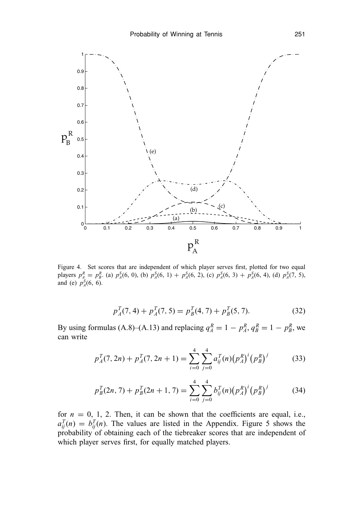

Figure 4. Set scores that are independent of which player serves first, plotted for two equal players  $p_A^R = p_B^R$ . (a)  $p_A^S(6, 0)$ , (b)  $p_A^S(6, 1) + p_A^S(6, 2)$ , (c)  $p_A^S(6, 3) + p_A^S(6, 4)$ , (d)  $p_A^S(7, 5)$ , and (e)  $p_A^S(6, 6)$ .

$$
p_A^T(7,4) + p_A^T(7,5) = p_B^T(4,7) + p_B^T(5,7). \tag{32}
$$

By using formulas (A.8)–(A.13) and replacing  $q_A^R = 1 - p_A^R$ ,  $q_B^R = 1 - p_B^R$ , we can write

$$
p_A^T(7, 2n) + p_A^T(7, 2n + 1) = \sum_{i=0}^4 \sum_{j=0}^4 a_{ij}^T(n) (p_A^R)^i (p_B^R)^j \tag{33}
$$

$$
p_B^T(2n, 7) + p_B^T(2n + 1, 7) = \sum_{i=0}^4 \sum_{j=0}^4 b_{ij}^T(n) (p_A^R)^i (p_B^R)^j \tag{34}
$$

for  $n = 0, 1, 2$ . Then, it can be shown that the coefficients are equal, i.e.,  $a_{ij}^T(n) = b_{ij}^T(n)$ . The values are listed in the Appendix. Figure 5 shows the probability of obtaining each of the tiebreaker scores that are independent of which player serves first, for equally matched players.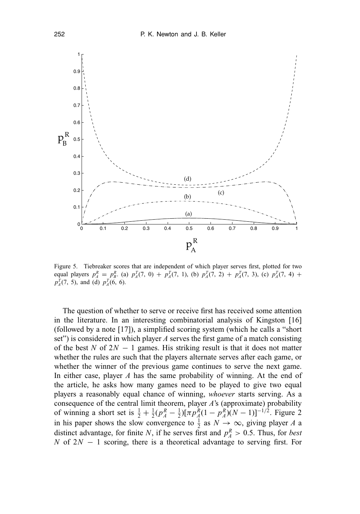

Figure 5. Tiebreaker scores that are independent of which player serves first, plotted for two equal players  $p_A^R = p_B^R$ . (a)  $p_A^T(7, 0) + p_A^T(7, 1)$ , (b)  $p_A^T(7, 2) + p_A^T(7, 3)$ , (c)  $p_A^T(7, 4) + p_A^T(7, 4)$  $p_A^T(7, 5)$ , and (d)  $p_A^T(6, 6)$ .

The question of whether to serve or receive first has received some attention in the literature. In an interesting combinatorial analysis of Kingston [16] (followed by a note [17]), a simplified scoring system (which he calls a "short set") is considered in which player *A* serves the first game of a match consisting of the best *N* of 2*N* − 1 games. His striking result is that it does not matter whether the rules are such that the players alternate serves after each game, or whether the winner of the previous game continues to serve the next game. In either case, player *A* has the same probability of winning. At the end of the article, he asks how many games need to be played to give two equal players a reasonably equal chance of winning, *whoever* starts serving. As a consequence of the central limit theorem, player *A*'s (approximate) probability of winning a short set is  $\frac{1}{2} + \frac{1}{2}(p_A^R - \frac{1}{2})[\pi p_A^R(1 - p_A^R)(N - 1)]^{-1/2}$ . Figure 2 in his paper shows the slow convergence to  $\frac{1}{2}$  as  $N \to \infty$ , giving player *A* a distinct advantage, for finite *N*, if he serves first and  $p_A^R > 0.5$ . Thus, for *best N* of 2*N* − 1 scoring, there is a theoretical advantage to serving first. For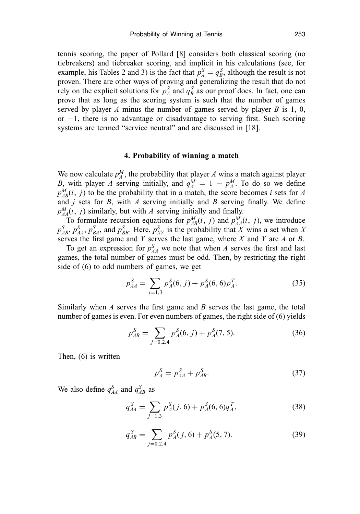tennis scoring, the paper of Pollard [8] considers both classical scoring (no tiebreakers) and tiebreaker scoring, and implicit in his calculations (see, for example, his Tables 2 and 3) is the fact that  $p_A^S = q_B^S$ , although the result is not proven. There are other ways of proving and generalizing the result that do not rely on the explicit solutions for  $p_A^S$  and  $q_B^S$  as our proof does. In fact, one can prove that as long as the scoring system is such that the number of games served by player *A* minus the number of games served by player *B* is 1, 0, or −1, there is no advantage or disadvantage to serving first. Such scoring systems are termed "service neutral" and are discussed in [18].

#### **4. Probability of winning a match**

We now calculate  $p_A^M$ , the probability that player *A* wins a match against player *B*, with player *A* serving initially, and  $q_A^M = 1 - p_A^M$ . To do so we define  $p_{AB}^M(i, j)$  to be the probability that in a match, the score becomes *i* sets for *A* and *j* sets for *B*, with *A* serving initially and *B* serving finally. We define  $p_{AA}^M(i, j)$  similarly, but with *A* serving initially and finally.

To formulate recursion equations for  $p_{AB}^M(i, j)$  and  $p_{AA}^M(i, j)$ , we introduce  $p_{AB}^S$ ,  $p_{AA}^S$ ,  $p_{BA}^S$ , and  $p_{BB}^S$ . Here,  $p_{XY}^S$  is the probability that *X* wins a set when *X* serves the first game and *Y* serves the last game, where *X* and *Y* are *A* or *B*.

To get an expression for  $p_{AA}^S$  we note that when *A* serves the first and last games, the total number of games must be odd. Then, by restricting the right side of (6) to odd numbers of games, we get

$$
p_{AA}^S = \sum_{j=1,3} p_A^S(6, j) + p_A^S(6, 6)p_A^T.
$$
 (35)

Similarly when *A* serves the first game and *B* serves the last game, the total number of games is even. For even numbers of games, the right side of (6) yields

$$
p_{AB}^S = \sum_{j=0,2,4} p_A^S(6,j) + p_A^S(7,5). \tag{36}
$$

Then, (6) is written

$$
p_A^S = p_{AA}^S + p_{AB}^S. \t\t(37)
$$

We also define  $q_{AA}^S$  and  $q_{AB}^S$  as

$$
q_{AA}^S = \sum_{j=1,3} p_A^S(j,6) + p_A^S(6,6)q_A^T,
$$
\n(38)

$$
q_{AB}^S = \sum_{j=0,2,4} p_A^S(j,6) + p_A^S(5,7). \tag{39}
$$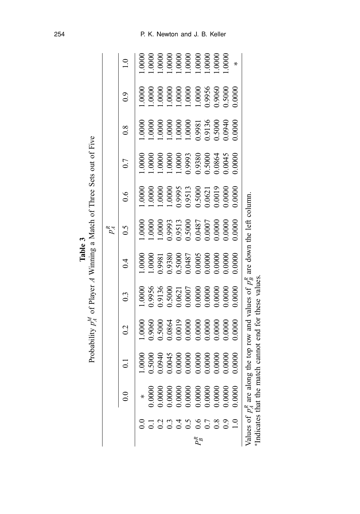|         |                                                                                                          |               |                                                                      |                                                                                                                                                                                                                                                                       |                                                                                                                                                                                                                                                                      | $p^R_{\mathcal{A}}$                                                                                                                                                                                                                                                |                                                                                                                                                                                                                                                                   |                                                                                                                         |                                                                                                                                                                                                                                                                      |                                                                                                                                |                                                                                                                                                               |
|---------|----------------------------------------------------------------------------------------------------------|---------------|----------------------------------------------------------------------|-----------------------------------------------------------------------------------------------------------------------------------------------------------------------------------------------------------------------------------------------------------------------|----------------------------------------------------------------------------------------------------------------------------------------------------------------------------------------------------------------------------------------------------------------------|--------------------------------------------------------------------------------------------------------------------------------------------------------------------------------------------------------------------------------------------------------------------|-------------------------------------------------------------------------------------------------------------------------------------------------------------------------------------------------------------------------------------------------------------------|-------------------------------------------------------------------------------------------------------------------------|----------------------------------------------------------------------------------------------------------------------------------------------------------------------------------------------------------------------------------------------------------------------|--------------------------------------------------------------------------------------------------------------------------------|---------------------------------------------------------------------------------------------------------------------------------------------------------------|
|         |                                                                                                          | $\bar{\circ}$ | 0.2                                                                  | $0.\overline{3}$                                                                                                                                                                                                                                                      | $\dot{0}$                                                                                                                                                                                                                                                            | $\widetilde{\rm c}$                                                                                                                                                                                                                                                | $\sim 0$                                                                                                                                                                                                                                                          | 0.7                                                                                                                     | $\overline{0.8}$                                                                                                                                                                                                                                                     | $_{\rm 0.9}$                                                                                                                   |                                                                                                                                                               |
|         |                                                                                                          | .0000         |                                                                      |                                                                                                                                                                                                                                                                       |                                                                                                                                                                                                                                                                      | 0000                                                                                                                                                                                                                                                               | $0000$ .                                                                                                                                                                                                                                                          | $0000$ .                                                                                                                |                                                                                                                                                                                                                                                                      | 0000.1                                                                                                                         |                                                                                                                                                               |
|         |                                                                                                          | 0.5000        |                                                                      |                                                                                                                                                                                                                                                                       |                                                                                                                                                                                                                                                                      |                                                                                                                                                                                                                                                                    |                                                                                                                                                                                                                                                                   |                                                                                                                         |                                                                                                                                                                                                                                                                      |                                                                                                                                |                                                                                                                                                               |
|         |                                                                                                          | 0940          |                                                                      |                                                                                                                                                                                                                                                                       |                                                                                                                                                                                                                                                                      |                                                                                                                                                                                                                                                                    |                                                                                                                                                                                                                                                                   |                                                                                                                         |                                                                                                                                                                                                                                                                      |                                                                                                                                |                                                                                                                                                               |
|         |                                                                                                          | 0.0045        |                                                                      |                                                                                                                                                                                                                                                                       |                                                                                                                                                                                                                                                                      |                                                                                                                                                                                                                                                                    |                                                                                                                                                                                                                                                                   |                                                                                                                         |                                                                                                                                                                                                                                                                      |                                                                                                                                |                                                                                                                                                               |
|         |                                                                                                          | 0.0000        |                                                                      |                                                                                                                                                                                                                                                                       |                                                                                                                                                                                                                                                                      |                                                                                                                                                                                                                                                                    |                                                                                                                                                                                                                                                                   |                                                                                                                         |                                                                                                                                                                                                                                                                      |                                                                                                                                |                                                                                                                                                               |
|         |                                                                                                          | 0.0000        |                                                                      |                                                                                                                                                                                                                                                                       |                                                                                                                                                                                                                                                                      |                                                                                                                                                                                                                                                                    |                                                                                                                                                                                                                                                                   |                                                                                                                         |                                                                                                                                                                                                                                                                      |                                                                                                                                |                                                                                                                                                               |
| $P_B^R$ | $0.0000$<br>$0.0000$<br>$0.0000$<br>$0.0000$<br>$0.0000$<br>$0.0000$<br>$0.0000$<br>$0.0000$<br>$0.0000$ | 0.0000        | $1.0000$<br>0.9060<br>0.5000<br>0.5000<br>0.0000<br>0.0000<br>0.0000 | $\begin{array}{l} 1.0000\\ 1.9956\\ 0.9136\\ 0.000\\ 0.000\\ 0.000\\ 0.000\\ 0.000\\ 0.000\\ 0.000\\ 0.000\\ 0.000\\ 0.000\\ 0.000\\ 0.000\\ 0.000\\ 0.000\\ 0.000\\ 0.000\\ 0.000\\ 0.000\\ 0.000\\ 0.000\\ 0.000\\ 0.000\\ 0.000\\ 0.000\\ 0.000\\ 0.000\\ 0.000\\$ | $\begin{array}{l} 1.0000\\ 1.0000\\ 0.9981\\ 0.9380\\ 0.6100\\ 0.600\\ 0.000\\ 0.000\\ 0.000\\ 0.000\\ 0.000\\ 0.000\\ 0.000\\ 0.000\\ 0.000\\ 0.000\\ 0.000\\ 0.000\\ 0.000\\ 0.000\\ 0.000\\ 0.000\\ 0.000\\ 0.000\\ 0.000\\ 0.000\\ 0.000\\ 0.000\\ 0.000\\ 0.00$ | $\begin{array}{l} 1.0000\\ 1.0000\\ 0.993\\ 0.513\\ 0.500\\ 0.600\\ 0.0007\\ 0.0007\\ 0.0007\\ 0.0000\\ 0.0000\\ 0.0000\\ 0.0000\\ 0.0000\\ 0.0000\\ 0.0000\\ 0.0000\\ 0.0000\\ 0.0000\\ 0.0000\\ 0.0000\\ 0.0000\\ 0.0000\\ 0.0000\\ 0.0000\\ 0.0000\\ 0.0000\\ $ | $\begin{array}{l} 1.0000\\ 1.0000\\ 1.0000\\ 0.9995\\ 0.995\\ 0.500\\ 0.5000\\ 0.0021\\ 0.0000\\ 0.0019\\ 0.0000\\ 0.0000\\ 0.0000\\ 0.0000\\ 0.0000\\ 0.0000\\ 0.0000\\ 0.0000\\ 0.0000\\ 0.0000\\ 0.0000\\ 0.0000\\ 0.0000\\ 0.0000\\ 0.0000\\ 0.0000\\ 0.0000$ | $\begin{array}{l} 1.0000 \\ 1.0000 \\ 1.0000 \\ 1.0000 \\ 0.9993 \\ 0.5000 \\ 0.5000 \\ 0.5000 \\ 0.664 \\ \end{array}$ | $\begin{array}{l} 1.0000\\ 1.0000\\ 1.0000\\ 1.0000\\ 1.0000\\ 1.0000\\ 0.998\\ 1.500\\ 0.9136\\ 0.000\\ 0.000\\ 0.000\\ 0.000\\ 0.000\\ 0.000\\ 0.000\\ 0.000\\ 0.000\\ 0.000\\ 0.000\\ 0.000\\ 0.000\\ 0.000\\ 0.000\\ 0.000\\ 0.000\\ 0.000\\ 0.000\\ 0.000\\ 0.$ | $\begin{array}{l} 1.0000\\ 1.0000\\ 1.0000\\ 1.0000\\ 1.0000\\ 1.0000\\ 0.9956\\ 0.9956\\ 0.0000\\ 0.0000\\ 0.0000\end{array}$ | $[\begin{array}{l} 1.0000\\ 1.0000\\ 1.0000\\ 1.0000\\ 1.0000\\ 1.0000\\ 1.0000\\ 1.0000\\ 1.0000\\ 1.0000\\ 1.0000\\ 1.0000\\ 1.0000\\ 1.0000\\ \end{array}$ |
|         |                                                                                                          | 0.0000        |                                                                      |                                                                                                                                                                                                                                                                       |                                                                                                                                                                                                                                                                      |                                                                                                                                                                                                                                                                    |                                                                                                                                                                                                                                                                   |                                                                                                                         |                                                                                                                                                                                                                                                                      |                                                                                                                                |                                                                                                                                                               |
|         |                                                                                                          | 0.0000        |                                                                      |                                                                                                                                                                                                                                                                       |                                                                                                                                                                                                                                                                      |                                                                                                                                                                                                                                                                    |                                                                                                                                                                                                                                                                   |                                                                                                                         |                                                                                                                                                                                                                                                                      |                                                                                                                                |                                                                                                                                                               |
|         |                                                                                                          | 0.0000        | 0000                                                                 |                                                                                                                                                                                                                                                                       |                                                                                                                                                                                                                                                                      |                                                                                                                                                                                                                                                                    |                                                                                                                                                                                                                                                                   |                                                                                                                         |                                                                                                                                                                                                                                                                      |                                                                                                                                |                                                                                                                                                               |
|         |                                                                                                          | 0.0000        | 0.0000                                                               | 0.0000                                                                                                                                                                                                                                                                | 0.0000                                                                                                                                                                                                                                                               | 0.0000                                                                                                                                                                                                                                                             | 0.0000                                                                                                                                                                                                                                                            | 0.0000                                                                                                                  |                                                                                                                                                                                                                                                                      | 0.0000                                                                                                                         | ⋇                                                                                                                                                             |

∗Indicates that the match cannot end for these values.

**Table 3** *p M A* of Player *A* Winning a Match of Three Sets out of Five

## 254 P. K. Newton and J. B. Keller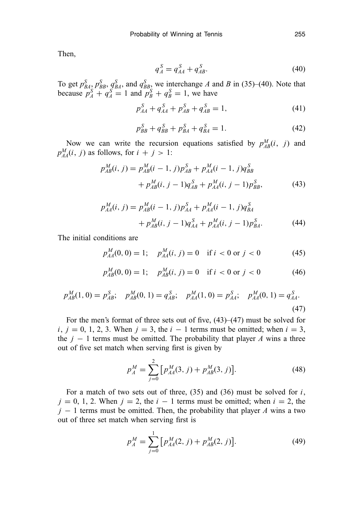Then,

$$
q_A^S = q_{AA}^S + q_{AB}^S. \tag{40}
$$

To get  $p_{BA}^S$ ,  $p_{BB}^S$ ,  $q_{BA}^S$ , and  $q_{BB}^S$ , we interchange *A* and *B* in (35)–(40). Note that because  $p_A^S + q_A^S = 1$  and  $p_B^S + q_B^S = 1$ , we have

$$
p_{AA}^S + q_{AA}^S + p_{AB}^S + q_{AB}^S = 1,\t\t(41)
$$

$$
p_{BB}^S + q_{BB}^S + p_{BA}^S + q_{BA}^S = 1.
$$
 (42)

Now we can write the recursion equations satisfied by  $p_{AB}^M(i, j)$  and  $p_{AA}^M(i, j)$  as follows, for  $i + j > 1$ :

$$
p_{AB}^{M}(i, j) = p_{AB}^{M}(i - 1, j)p_{AB}^{S} + p_{AA}^{M}(i - 1, j)q_{BB}^{S}
$$

$$
+ p_{AB}^{M}(i, j - 1)q_{AB}^{S} + p_{AA}^{M}(i, j - 1)p_{BB}^{S},
$$
(43)

$$
p_{AA}^M(i,j) = p_{AB}^M(i-1,j)p_{AA}^S + p_{AA}^M(i-1,j)q_{BA}^S
$$

$$
+ p_{AB}^M(i,j-1)q_{AA}^S + p_{AA}^M(i,j-1)p_{BA}^S.
$$
 (44)

The initial conditions are

$$
p_{AA}^M(0,0) = 1; \quad p_{AA}^M(i,j) = 0 \quad \text{if } i < 0 \text{ or } j < 0 \tag{45}
$$

$$
p_{AB}^M(0,0) = 1; \quad p_{AB}^M(i,j) = 0 \quad \text{if } i < 0 \text{ or } j < 0 \tag{46}
$$

$$
p_{AB}^M(1,0) = p_{AB}^S; \quad p_{AB}^M(0,1) = q_{AB}^S; \quad p_{AA}^M(1,0) = p_{AA}^S; \quad p_{AA}^M(0,1) = q_{AA}^S.
$$
\n(47)

For the men's format of three sets out of five, (43)–(47) must be solved for *i*, *j* = 0, 1, 2, 3. When *j* = 3, the *i* − 1 terms must be omitted; when *i* = 3, the  $j - 1$  terms must be omitted. The probability that player *A* wins a three out of five set match when serving first is given by

$$
p_A^M = \sum_{j=0}^{2} \left[ p_{AA}^M(3, j) + p_{AB}^M(3, j) \right]. \tag{48}
$$

For a match of two sets out of three, (35) and (36) must be solved for *i*,  $j = 0, 1, 2$ . When  $j = 2$ , the  $i - 1$  terms must be omitted; when  $i = 2$ , the *j* − 1 terms must be omitted. Then, the probability that player *A* wins a two out of three set match when serving first is

$$
p_A^M = \sum_{j=0}^{1} \left[ p_{AA}^M(2, j) + p_{AB}^M(2, j) \right]. \tag{49}
$$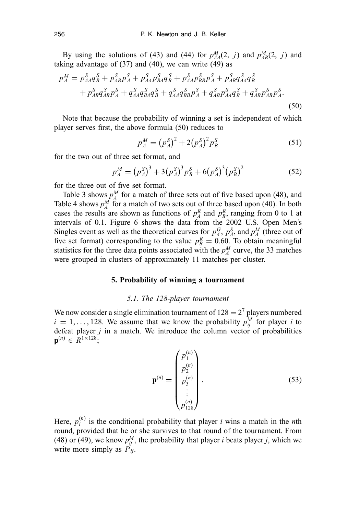By using the solutions of (43) and (44) for  $p_{AA}^M(2, j)$  and  $p_{AB}^M(2, j)$  and taking advantage of  $(37)$  and  $(40)$ , we can write  $(49)$  as

$$
p_A^M = p_{AA}^S q_B^S + p_{AB}^S p_A^S + p_{AA}^S p_{BA}^S q_B^S + p_{AA}^S p_{BB}^S p_A^S + p_{AB}^S q_{AA}^S q_B^S
$$
  
+  $p_{AB}^S q_{AB}^S p_A^S + q_{AA}^S q_{BA}^S q_B^S + q_{AA}^S q_{BB}^S p_A^S + q_{AB}^S p_{AA}^S q_B^S + q_{AB}^S p_{AB}^S p_A^S. \tag{50}$ 

Note that because the probability of winning a set is independent of which player serves first, the above formula (50) reduces to

$$
p_A^M = (p_A^S)^2 + 2(p_A^S)^2 p_B^S \tag{51}
$$

for the two out of three set format, and

$$
p_A^M = (p_A^S)^3 + 3(p_A^S)^3 p_B^S + 6(p_A^S)^3 (p_B^S)^2 \tag{52}
$$

for the three out of five set format.

Table 3 shows  $p_A^M$  for a match of three sets out of five based upon (48), and Table 4 shows  $p_A^M$  for a match of two sets out of three based upon (40). In both cases the results are shown as functions of  $p_A^R$  and  $p_B^R$ , ranging from 0 to 1 at intervals of 0.1. Figure 6 shows the data from the 2002 U.S. Open Men's Singles event as well as the theoretical curves for  $p_A^G$ ,  $p_A^S$ , and  $p_A^M$  (three out of five set format) corresponding to the value  $p_B^R = 0.60$ . To obtain meaningful statistics for the three data points associated with the  $p_A^M$  curve, the 33 matches were grouped in clusters of approximately 11 matches per cluster.

#### **5. Probability of winning a tournament**

#### *5.1. The 128-player tournament*

We now consider a single elimination tournament of  $128 = 2<sup>7</sup>$  players numbered  $i = 1, \ldots, 128$ . We assume that we know the probability  $p_{ij}^M$  for player *i* to defeat player  $j$  in a match. We introduce the column vector of probabilities  $\mathbf{p}^{(n)} \in \mathbb{R}^{1 \times 128}$ 

$$
\mathbf{p}^{(n)} = \begin{pmatrix} p_1^{(n)} \\ p_2^{(n)} \\ p_3^{(n)} \\ \vdots \\ p_{128}^{(n)} \end{pmatrix} . \tag{53}
$$

Here,  $p_i^{(n)}$  is the conditional probability that player *i* wins a match in the *n*th round, provided that he or she survives to that round of the tournament. From (48) or (49), we know  $p_{ij}^M$ , the probability that player *i* beats player *j*, which we write more simply as  $\overline{P}_{ij}$ .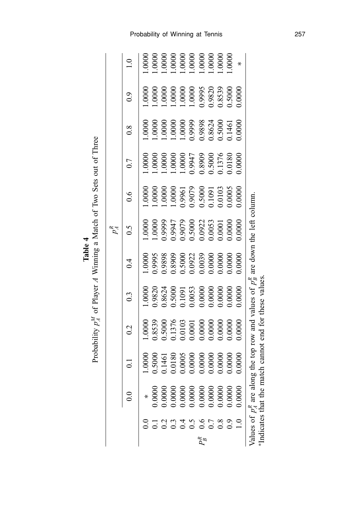**Table 4** Probability *p M A* of Player *A* Winning a Match of Two Sets out of Three

|                            |                                                                                              |        |                                                                                                                           |                                                                                  |        | $p_A^R$                                      |                                                                                                                                 |                                                          |                                                                                                                                                                                                                                                                   |                                                                                                                                  |                                                                                                                                                     |
|----------------------------|----------------------------------------------------------------------------------------------|--------|---------------------------------------------------------------------------------------------------------------------------|----------------------------------------------------------------------------------|--------|----------------------------------------------|---------------------------------------------------------------------------------------------------------------------------------|----------------------------------------------------------|-------------------------------------------------------------------------------------------------------------------------------------------------------------------------------------------------------------------------------------------------------------------|----------------------------------------------------------------------------------------------------------------------------------|-----------------------------------------------------------------------------------------------------------------------------------------------------|
|                            |                                                                                              | ತ      | 0.2                                                                                                                       | $0.\overline{3}$                                                                 | 0.4    | C.G                                          | $\frac{6}{1}$                                                                                                                   | 0.7                                                      | $\frac{8}{3}$                                                                                                                                                                                                                                                     | $\rm ^{9}$                                                                                                                       |                                                                                                                                                     |
|                            | $\ast$                                                                                       | .0000  | $0000$ .                                                                                                                  | $0000$ .                                                                         | 0000   | $0000$ .                                     | $0000$ .                                                                                                                        | $0000$ .                                                 | $0000$ .                                                                                                                                                                                                                                                          | 0000                                                                                                                             |                                                                                                                                                     |
|                            |                                                                                              | 0005.  |                                                                                                                           | 0.9820                                                                           |        | 0000                                         |                                                                                                                                 | $0000$ .                                                 |                                                                                                                                                                                                                                                                   |                                                                                                                                  |                                                                                                                                                     |
|                            |                                                                                              | 0.1461 | 0.8539                                                                                                                    |                                                                                  |        | 0.9999                                       |                                                                                                                                 | .0000                                                    |                                                                                                                                                                                                                                                                   |                                                                                                                                  |                                                                                                                                                     |
|                            |                                                                                              | 0.0180 |                                                                                                                           |                                                                                  |        |                                              |                                                                                                                                 |                                                          |                                                                                                                                                                                                                                                                   |                                                                                                                                  |                                                                                                                                                     |
|                            |                                                                                              | 0.0005 |                                                                                                                           |                                                                                  |        |                                              |                                                                                                                                 |                                                          |                                                                                                                                                                                                                                                                   |                                                                                                                                  |                                                                                                                                                     |
|                            |                                                                                              | 0.0000 |                                                                                                                           |                                                                                  |        |                                              |                                                                                                                                 |                                                          |                                                                                                                                                                                                                                                                   |                                                                                                                                  |                                                                                                                                                     |
| 12311967890<br>12911967890 |                                                                                              | 0.0000 | $\begin{array}{r} 0.1376 \\ 0.0103 \\ 0.0001 \\ 0.0000 \\ 0.0000 \\ 0.0000 \end{array}$                                   | $0.8624$<br>$0.5000$<br>$0.1091$<br>$0.0053$<br>$0.0000$<br>$0.0000$<br>$0.0000$ |        | 9947<br>0.9079<br>0.5000<br>0.0053<br>0.0053 | $\begin{array}{l} 1.0000\\ 1.0000\\ 1.0000\\ 0.9961\\ 0.9079\\ 0.5000\\ 0.1001\\ 0.0103\\ 0.0103\\ 0.0005\\ 0.0005 \end{array}$ | 1.0000<br>1.0000<br>0.8909<br>0.5000<br>0.1376<br>0.0180 | $\begin{array}{l} 1.0000\\ 1.0000\\ 1.0000\\ 1.0000\\ 0.9999\\ 0.8624\\ 0.5000\\ 0.1461\\ 0.1461\\ 0.1461\\ 0.1461\\ 0.0000\\ 0.0000\\ 0.0000\\ 0.0000\\ 0.0000\\ 0.0000\\ 0.0000\\ 0.0000\\ 0.0000\\ 0.0000\\ 0.0000\\ 0.0000\\ 0.0000\\ 0.0000\\ 0.0000\\ 0.00$ | $\begin{array}{l} 1.0000\\ 1.0000\\ 1.0000\\ 1.0000\\ 1.0000\\ 1.0000\\ 0.995\\ 0.9820\\ 0.8539\\ 0.8539\\ 0.5000\\ \end{array}$ | $\begin{array}{l} 1.0000\\ 1.0000\\ 1.0000\\ 1.0000\\ 1.0000\\ 1.0000\\ 1.0000\\ 1.0000\\ 1.0000\\ 1.0000\\ 1.0000\\ 1.0000\\ 1.0000\\ \end{array}$ |
|                            |                                                                                              | 0.0000 |                                                                                                                           |                                                                                  |        |                                              |                                                                                                                                 |                                                          |                                                                                                                                                                                                                                                                   |                                                                                                                                  |                                                                                                                                                     |
|                            |                                                                                              | 0.0000 |                                                                                                                           |                                                                                  |        |                                              |                                                                                                                                 |                                                          |                                                                                                                                                                                                                                                                   |                                                                                                                                  |                                                                                                                                                     |
|                            |                                                                                              | 0.0000 | 0000.                                                                                                                     |                                                                                  | 0000   | 0.0000                                       |                                                                                                                                 |                                                          |                                                                                                                                                                                                                                                                   |                                                                                                                                  |                                                                                                                                                     |
|                            | $0.0000$<br>$0.0000$<br>$0.0000$<br>$0.0000$<br>$0.0000$<br>$0.0000$<br>$0.0000$<br>$0.0000$ | 0.0000 | 0000                                                                                                                      | 0.0000                                                                           | 0.0000 | 00000                                        | 0000                                                                                                                            | 0.0000                                                   |                                                                                                                                                                                                                                                                   | 0.000                                                                                                                            | ⋇                                                                                                                                                   |
|                            | Indicates that the mat                                                                       |        | Values of $p_A^R$ are along the top row and values of $p_B^R$ are down the left column<br>ch cannot end for these values. |                                                                                  |        |                                              |                                                                                                                                 |                                                          |                                                                                                                                                                                                                                                                   |                                                                                                                                  |                                                                                                                                                     |

Probability of Winning at Tennis 257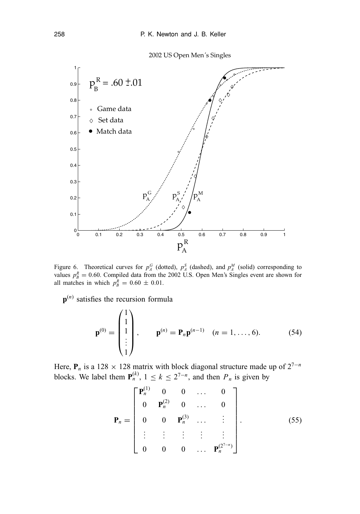2002 US Open Men*'*s Singles



Figure 6. Theoretical curves for  $p_A^G$  (dotted),  $p_A^S$  (dashed), and  $p_A^M$  (solid) corresponding to values  $p_B^R = 0.60$ . Compiled data from the 2002 U.S. Open Men's Singles event are shown for all matches in which  $p_B^R = 0.60 \pm 0.01$ .

**p**(*n*) satisfies the recursion formula

 $\lambda$ 

$$
\mathbf{p}^{(0)} = \begin{pmatrix} 1 \\ 1 \\ 1 \\ \vdots \\ 1 \end{pmatrix}, \qquad \mathbf{p}^{(n)} = \mathbf{P}_n \mathbf{p}^{(n-1)} \quad (n = 1, ..., 6). \tag{54}
$$

Here,  $P_n$  is a 128 × 128 matrix with block diagonal structure made up of  $2^{7-n}$ blocks. We label them  $P_n^{(k)}$ ,  $1 \le k \le 2^{7-n}$ , and then  $P_n$  is given by

$$
\mathbf{P}_n = \begin{bmatrix} \mathbf{P}_n^{(1)} & 0 & 0 & \dots & 0 \\ 0 & \mathbf{P}_n^{(2)} & 0 & \dots & 0 \\ 0 & 0 & \mathbf{P}_n^{(3)} & \dots & \vdots \\ \vdots & \vdots & \vdots & \vdots & \vdots \\ 0 & 0 & 0 & \dots & \mathbf{P}_n^{(2^{7-n})} \end{bmatrix} .
$$
 (55)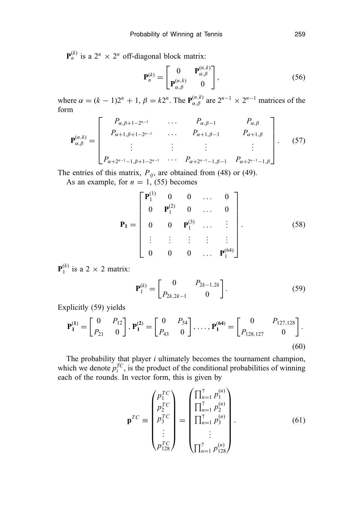$\mathbf{P}_n^{(k)}$  is a  $2^n \times 2^n$  off-diagonal block matrix:

$$
\mathbf{P}_n^{(k)} = \begin{bmatrix} 0 & \mathbf{P}_{\alpha,\beta}^{(n,k)} \\ \mathbf{P}_{\alpha,\beta}^{(n,k)} & 0 \end{bmatrix},\tag{56}
$$

where  $\alpha = (k - 1)2^n + 1$ ,  $\beta = k2^n$ . The  $P_{\alpha,\beta}^{(n,k)}$  are  $2^{n-1} \times 2^{n-1}$  matrices of the form

$$
\mathbf{P}_{\alpha,\beta}^{(n,k)} = \begin{bmatrix} P_{\alpha,\beta+1-2^{n-1}} & \cdots & P_{\alpha,\beta-1} & P_{\alpha,\beta} \\ P_{\alpha+1,\beta+1-2^{n-1}} & \cdots & P_{\alpha+1,\beta-1} & P_{\alpha+1,\beta} \\ \vdots & \vdots & \vdots & \vdots \\ P_{\alpha+2^{n-1}-1,\beta+1-2^{n-1}} & \cdots & P_{\alpha+2^{n-1}-1,\beta-1} & P_{\alpha+2^{n-1}-1,\beta} \end{bmatrix} . \tag{57}
$$

The entries of this matrix,  $P_{ij}$ , are obtained from (48) or (49).

As an example, for  $n = 1$ , (55) becomes

$$
\mathbf{P}_{1} = \begin{bmatrix} \mathbf{P}_{1}^{(1)} & 0 & 0 & \dots & 0 \\ 0 & \mathbf{P}_{1}^{(2)} & 0 & \dots & 0 \\ 0 & 0 & \mathbf{P}_{1}^{(3)} & \dots & \vdots \\ \vdots & \vdots & \vdots & \vdots & \vdots \\ 0 & 0 & 0 & \dots & \mathbf{P}_{1}^{(64)} \end{bmatrix} .
$$
 (58)

 ${\bf P}_1^{(k)}$  is a 2  $\times$  2 matrix:

$$
\mathbf{P}_1^{(k)} = \begin{bmatrix} 0 & P_{2k-1,2k} \\ P_{2k,2k-1} & 0 \end{bmatrix}.
$$
 (59)

Explicitly (59) yields

$$
\mathbf{P}_{1}^{(1)} = \begin{bmatrix} 0 & P_{12} \\ P_{21} & 0 \end{bmatrix}, \mathbf{P}_{1}^{(2)} = \begin{bmatrix} 0 & P_{34} \\ P_{43} & 0 \end{bmatrix}, \dots, \mathbf{P}_{1}^{(64)} = \begin{bmatrix} 0 & P_{127,128} \\ P_{128,127} & 0 \end{bmatrix}.
$$
\n(60)

The probability that player *i* ultimately becomes the tournament champion, which we denote  $p_i^{TC}$ , is the product of the conditional probabilities of winning each of the rounds. In vector form, this is given by

$$
\mathbf{p}^{TC} \equiv \begin{pmatrix} p_1^{TC} \\ p_2^{TC} \\ p_3^{TC} \\ \vdots \\ p_{128}^{TC} \end{pmatrix} = \begin{pmatrix} \prod_{n=1}^{7} p_1^{(n)} \\ \prod_{n=1}^{7} p_2^{(n)} \\ \prod_{n=1}^{7} p_3^{(n)} \\ \vdots \\ \prod_{n=1}^{7} p_{128}^{(n)} \end{pmatrix} .
$$
 (61)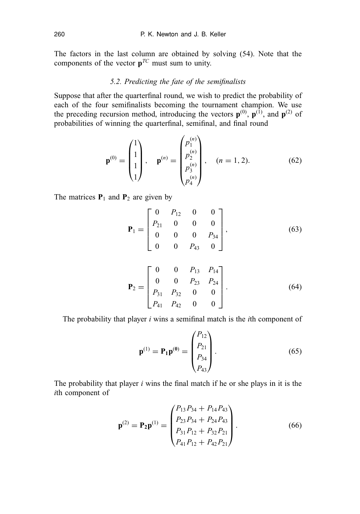The factors in the last column are obtained by solving (54). Note that the components of the vector  $p^{TC}$  must sum to unity.

## *5.2. Predicting the fate of the semifinalists*

Suppose that after the quarterfinal round, we wish to predict the probability of each of the four semifinalists becoming the tournament champion. We use the preceding recursion method, introducing the vectors  $\mathbf{p}^{(0)}$ ,  $\mathbf{p}^{(1)}$ , and  $\mathbf{p}^{(2)}$  of probabilities of winning the quarterfinal, semifinal, and final round

$$
\mathbf{p}^{(0)} = \begin{pmatrix} 1 \\ 1 \\ 1 \\ 1 \end{pmatrix}, \quad \mathbf{p}^{(n)} = \begin{pmatrix} p_1^{(n)} \\ p_2^{(n)} \\ p_3^{(n)} \\ p_4^{(n)} \end{pmatrix}, \quad (n = 1, 2). \tag{62}
$$

The matrices  $P_1$  and  $P_2$  are given by

$$
\mathbf{P}_1 = \begin{bmatrix} 0 & P_{12} & 0 & 0 \\ P_{21} & 0 & 0 & 0 \\ 0 & 0 & 0 & P_{34} \\ 0 & 0 & P_{43} & 0 \end{bmatrix},
$$
(63)

$$
\mathbf{P}_2 = \begin{bmatrix} 0 & 0 & P_{13} & P_{14} \\ 0 & 0 & P_{23} & P_{24} \\ P_{31} & P_{32} & 0 & 0 \\ P_{41} & P_{42} & 0 & 0 \end{bmatrix}.
$$
 (64)

The probability that player *i* wins a semifinal match is the *i*th component of

$$
\mathbf{p}^{(1)} = \mathbf{P}_1 \mathbf{p}^{(0)} = \begin{pmatrix} P_{12} \\ P_{21} \\ P_{34} \\ P_{43} \end{pmatrix} . \tag{65}
$$

The probability that player *i* wins the final match if he or she plays in it is the *i*th component of

$$
\mathbf{p}^{(2)} = \mathbf{P}_2 \mathbf{p}^{(1)} = \begin{pmatrix} P_{13} P_{34} + P_{14} P_{43} \\ P_{23} P_{34} + P_{24} P_{43} \\ P_{31} P_{12} + P_{32} P_{21} \\ P_{41} P_{12} + P_{42} P_{21} \end{pmatrix} .
$$
 (66)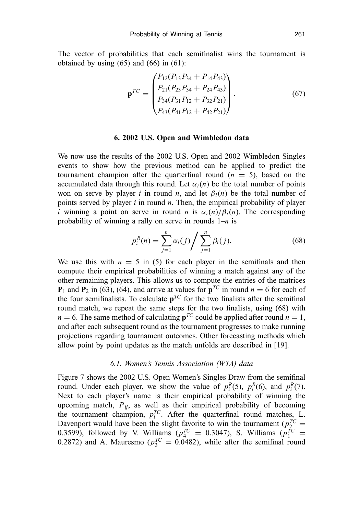The vector of probabilities that each semifinalist wins the tournament is obtained by using  $(65)$  and  $(66)$  in  $(61)$ :

$$
\mathbf{p}^{TC} = \begin{pmatrix} P_{12}(P_{13}P_{34} + P_{14}P_{43}) \\ P_{21}(P_{23}P_{34} + P_{24}P_{43}) \\ P_{34}(P_{31}P_{12} + P_{32}P_{21}) \\ P_{43}(P_{41}P_{12} + P_{42}P_{21}) \end{pmatrix} . \tag{67}
$$

#### **6. 2002 U.S. Open and Wimbledon data**

We now use the results of the 2002 U.S. Open and 2002 Wimbledon Singles events to show how the previous method can be applied to predict the tournament champion after the quarterfinal round  $(n = 5)$ , based on the accumulated data through this round. Let  $\alpha_i(n)$  be the total number of points won on serve by player *i* in round *n*, and let  $\beta_i(n)$  be the total number of points served by player *i* in round *n*. Then, the empirical probability of player *i* winning a point on serve in round *n* is  $\alpha_i(n)/\beta_i(n)$ . The corresponding probability of winning a rally on serve in rounds 1–*n* is

$$
p_i^R(n) = \sum_{j=1}^n \alpha_i(j) / \sum_{j=1}^n \beta_i(j).
$$
 (68)

We use this with  $n = 5$  in (5) for each player in the semifinals and then compute their empirical probabilities of winning a match against any of the other remaining players. This allows us to compute the entries of the matrices **P**<sub>1</sub> and **P**<sub>2</sub> in (63), (64), and arrive at values for  $p^{TC}$  in round  $n = 6$  for each of the four semifinalists. To calculate  $p^{TC}$  for the two finalists after the semifinal round match, we repeat the same steps for the two finalists, using (68) with  $n = 6$ . The same method of calculating  $p^{TC}$  could be applied after round  $n = 1$ , and after each subsequent round as the tournament progresses to make running projections regarding tournament outcomes. Other forecasting methods which allow point by point updates as the match unfolds are described in [19].

## *6.1. Women's Tennis Association (WTA) data*

Figure 7 shows the 2002 U.S. Open Women's Singles Draw from the semifinal round. Under each player, we show the value of  $p_i^R(5)$ ,  $p_i^R(6)$ , and  $p_i^R(7)$ . Next to each player's name is their empirical probability of winning the upcoming match,  $P_{ij}$ , as well as their empirical probability of becoming the tournament champion,  $p_i^{TC}$ . After the quarterfinal round matches, L. Davenport would have been the slight favorite to win the tournament ( $p_2^{TC}$ )  $\frac{2}{2}$  = 0.3599), followed by V. Williams ( $p_4^{TC} = 0.3047$ ), S. Williams ( $p_1^{TC} = 0.3047$ ) 0.2872) and A. Mauresmo ( $p_3^{TC} = 0.0482$ ), while after the semifinal round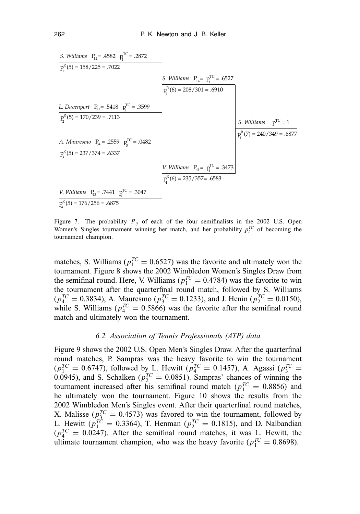S. Williams 
$$
P_{12}
$$
 = .4582  $p_1^{TC}$  = .2872  
\n $p_1^R(5) = 158/225 = .7022$   
\nL. Davenport  $P_{21}$  = .5418  $p_2^{TC}$  = .3599  
\n $p_2^R(5) = 170/239 = .7113$   
\nA. Mauresmo  $P_{34}$  = .2559  $p_3^{TC}$  = .0482  
\n $p_3^R(5) = 237/374 = .6337$   
\nV. Williams  $P_{41}$  =  $p_4^{TC}$  = .3473  
\n $p_4^R(6) = 208/301 = .6910$   
\n $p_1^R(7) = 240/349 = .6877$   
\n $p_3^R(7) = 240/349 = .6877$   
\n $p_4^R(6) = 235/357 = .6583$   
\nV. Williams  $P_{41}$  =  $p_4^{TC}$  = .3473  
\n $p_4^R(6) = 235/357 = .6583$   
\n $p_4^R(6) = 235/357 = .6583$ 

Figure 7. The probability  $P_{ij}$  of each of the four semifinalists in the 2002 U.S. Open Women's Singles tournament winning her match, and her probability  $p_i^{TC}$  of becoming the tournament champion.

matches, S. Williams ( $p_1^{TC} = 0.6527$ ) was the favorite and ultimately won the tournament. Figure 8 shows the 2002 Wimbledon Women's Singles Draw from the semifinal round. Here, V. Williams ( $p_1^{TC} = 0.4784$ ) was the favorite to win the tournament after the quarterfinal round match, followed by S. Williams  $(p_4^{TC} = 0.3834)$ , A. Mauresmo  $(p_3^{TC} = 0.1233)$ , and J. Henin  $(p_2^{TC} = 0.0150)$ , while S. Williams ( $p_4^{TC} = 0.5866$ ) was the favorite after the semifinal round match and ultimately won the tournament.

## *6.2. Association of Tennis Professionals (ATP) data*

Figure 9 shows the 2002 U.S. Open Men's Singles Draw. After the quarterfinal round matches, P. Sampras was the heavy favorite to win the tournament  $(p_1^{TC} = 0.6747)$ , followed by L. Hewitt  $(p_4^{TC} = 0.1457)$ , A. Agassi  $(p_3^{TC} = 0.6747)$ 0.0945), and S. Schalken ( $p_2^{TC} = 0.0851$ ). Sampras' chances of winning the tournament increased after his semifinal round match ( $p_1^{TC} = 0.8856$ ) and he ultimately won the tournament. Figure 10 shows the results from the 2002 Wimbledon Men's Singles event. After their quarterfinal round matches, X. Malisse  $(p_3^{TC} = 0.4573)$  was favored to win the tournament, followed by L. Hewitt ( $p_1^{TC} = 0.3364$ ), T. Henman ( $p_2^{TC} = 0.1815$ ), and D. Nalbandian  $(p_4^{TC} = 0.0247)$ . After the semifinal round matches, it was L. Hewitt, the ultimate tournament champion, who was the heavy favorite ( $p_1^{TC} = 0.8698$ ).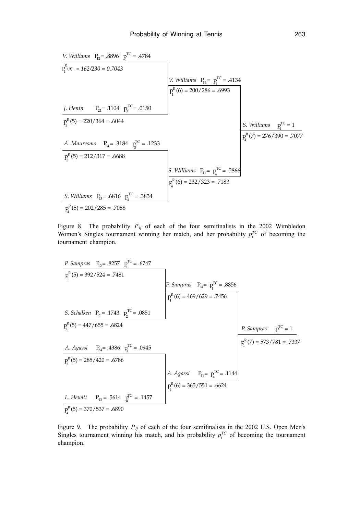V. Williams 
$$
P_{12}
$$
 = .8896  $p_1^{TC}$  = .4784  
\n $p_1^R(5) = 162/230 = 0.7043$   
\n $p_2^R(5) = 162/230 = 0.7043$   
\n $p_2^R(6) = 200/286 = .6993$   
\n $p_2^R(7) = 220/364 = .6044$   
\n $p_3^R(7) = 220/364 = .6044$   
\n $p_4^R(7) = 276/390 = .7077$   
\nA. Mauresmo  $P_{34}$  = .3184  $p_3^{TC}$  = .1233  
\n $p_3^R(5) = 212/317 = .6688$   
\nS. Williams  $P_{43}$  = .6816  $p_1^{TC}$  = .3834  
\n $p_4^R(6) = 232/323 = .7183$   
\nS. Williams  $P_{43}$  = .6816  $p_4^{TC}$  = .3834  
\n $p_4^R(5) = 202/285 = .7088$ 

Figure 8. The probability  $P_{ij}$  of each of the four semifinalists in the 2002 Wimbledon Women's Singles tournament winning her match, and her probability  $p_i^{TC}$  of becoming the tournament champion.

| P. Sampras                            | $P_1 = .8257$    | $P_1^{\text{TC}} = .6747$          |                                     |                       |
|---------------------------------------|------------------|------------------------------------|-------------------------------------|-----------------------|
| $P_1^{\text{R}}(5) = 392/524 = .7481$ | P. Sampras       | $P_1 = p_1^{\text{TC}} = .8856$    |                                     |                       |
| S. Schalken                           | $P_{21} = .1743$ | $P_2^{\text{TC}} = .0851$          | P_1^{\text{R}}(6) = 469/629 = .7456 |                       |
| $P_2^{\text{R}}(5) = 447/655 = .6824$ | P. Sampras       | $P_1^{\text{TC}} = 1$              |                                     |                       |
| A. Agassi                             | $P_{34} = .4386$ | $P_3^{\text{TC}} = .0945$          | P. Sampras                          | $P_1^{\text{TC}} = 1$ |
| $P_3^{\text{R}}(5) = 285/420 = .6786$ | A. Agassi        | $P_{41} = P_4^{\text{TC}} = .1144$ |                                     |                       |
| L. Hewitt                             | $P_{43} = .5614$ | $P_4^{\text{TC}} = .1457$          | P_4^{\text{R}}(6) = 365/551 = .6624 |                       |
| $P_4^{\text{R}}(5) = 370/537 = .6890$ | 370/537 = .6890  |                                    |                                     |                       |

Figure 9. The probability  $P_{ij}$  of each of the four semifinalists in the 2002 U.S. Open Men's Singles tournament winning his match, and his probability  $p_i^{TC}$  of becoming the tournament champion.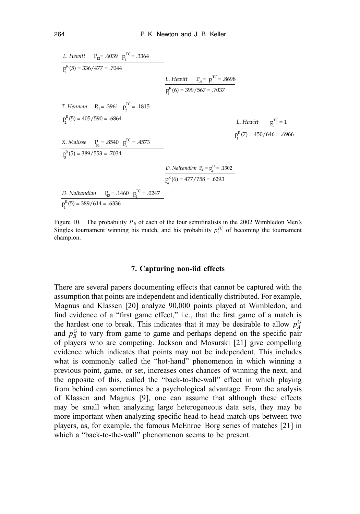

Figure 10. The probability  $P_{ij}$  of each of the four semifinalists in the 2002 Wimbledon Men's Singles tournament winning his match, and his probability  $p_i^{TC}$  of becoming the tournament champion.

## **7. Capturing non-iid effects**

There are several papers documenting effects that cannot be captured with the assumption that points are independent and identically distributed. For example, Magnus and Klassen [20] analyze 90,000 points played at Wimbledon, and find evidence of a "first game effect," i.e., that the first game of a match is the hardest one to break. This indicates that it may be desirable to allow  $p_A^G$ and  $p_B^G$  to vary from game to game and perhaps depend on the specific pair of players who are competing. Jackson and Mosurski [21] give compelling evidence which indicates that points may not be independent. This includes what is commonly called the "hot-hand" phenomenon in which winning a previous point, game, or set, increases ones chances of winning the next, and the opposite of this, called the "back-to-the-wall" effect in which playing from behind can sometimes be a psychological advantage. From the analysis of Klassen and Magnus [9], one can assume that although these effects may be small when analyzing large heterogeneous data sets, they may be more important when analyzing specific head-to-head match-ups between two players, as, for example, the famous McEnroe–Borg series of matches [21] in which a "back-to-the-wall" phenomenon seems to be present.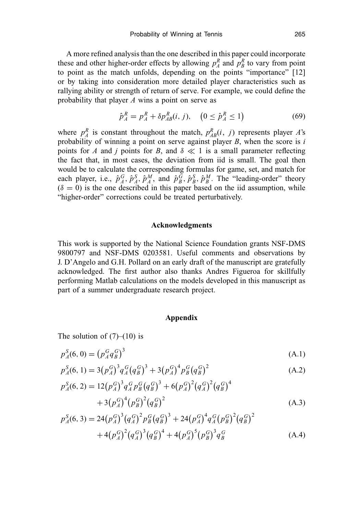A more refined analysis than the one described in this paper could incorporate these and other higher-order effects by allowing  $p_A^R$  and  $p_B^R$  to vary from point to point as the match unfolds, depending on the points "importance" [12] or by taking into consideration more detailed player characteristics such as rallying ability or strength of return of serve. For example, we could define the probability that player *A* wins a point on serve as

$$
\hat{p}_A^R = p_A^R + \delta p_{AB}^R(i, j), \quad (0 \le \hat{p}_A^R \le 1)
$$
\n(69)

where  $p_A^R$  is constant throughout the match,  $p_{AB}^R(i, j)$  represents player *A*'s probability of winning a point on serve against player *B*, when the score is *i* points for *A* and *j* points for *B*, and  $\delta \ll 1$  is a small parameter reflecting the fact that, in most cases, the deviation from iid is small. The goal then would be to calculate the corresponding formulas for game, set, and match for each player, i.e.,  $\hat{p}_A^G$ ,  $\hat{p}_A^S$ ,  $\hat{p}_A^M$ , and  $\hat{p}_B^G$ ,  $\hat{p}_B^S$ ,  $\hat{p}_B^M$ . The "leading-order" theory  $(\delta = 0)$  is the one described in this paper based on the iid assumption, while "higher-order" corrections could be treated perturbatively.

#### **Acknowledgments**

This work is supported by the National Science Foundation grants NSF-DMS 9800797 and NSF-DMS 0203581. Useful comments and observations by J. D'Angelo and G.H. Pollard on an early draft of the manuscript are gratefully acknowledged. The first author also thanks Andres Figueroa for skillfully performing Matlab calculations on the models developed in this manuscript as part of a summer undergraduate research project.

#### **Appendix**

The solution of  $(7)$ – $(10)$  is

$$
p_A^S(6,0) = (p_A^G q_B^G)^3
$$
 (A.1)

$$
p_A^S(6, 1) = 3(p_A^G)^3 q_A^G (q_B^G)^3 + 3(p_A^G)^4 p_B^G (q_B^G)^2
$$
 (A.2)

$$
p_A^S(6,2) = 12(p_A^G)^3 q_A^G p_B^G (q_B^G)^3 + 6(p_A^G)^2 (q_A^G)^2 (q_B^G)^4
$$
  
+3(p\_A^G)^4 (p\_B^G)^2 (q\_B^G)^2 (q\_B^G)^2 (q\_B^G)^4 (A.3)

$$
p_A^S(6,3) = 24(p_A^G)^3 (q_A^G)^2 p_B^G (q_B^G)^3 + 24(p_A^G)^4 q_A^G (p_B^G)^2 (q_B^G)^2
$$
  
+4(p\_A^G)^2 (q\_A^G)^3 (q\_B^G)^4 + 4(p\_A^G)^5 (p\_B^G)^3 q\_B^G (A.4)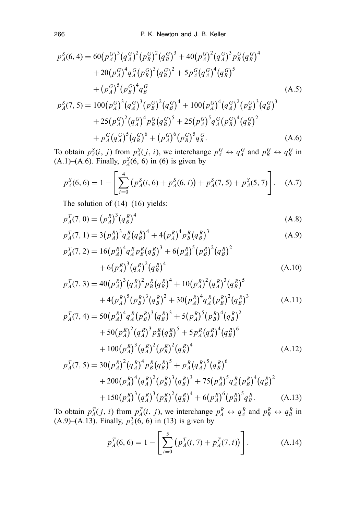$$
p_A^S(6,4) = 60(p_A^G)^3(q_A^G)^2(p_B^G)^2(q_B^G)^3 + 40(p_A^G)^2(q_A^G)^3 p_B^G(q_B^G)^4
$$
  
+20(p\_A^G)^4 q\_A^G(p\_B^G)^3(q\_B^G)^2 + 5p\_A^G(q\_A^G)^4(q\_B^G)^5  
+ (p\_A^G)^5(p\_B^G)^4 q\_B^G(A.5)  

$$
p_A^S(7,5) = 100(p_A^G)^3(q_A^G)^3(p_B^G)^2(q_B^G)^4 + 100(p_A^G)^4(q_A^G)^2(p_B^G)^3(q_B^G)^3
$$
  
+25(p\_A^G)^2(q\_A^G)^4 p\_B^G(q\_B^G)^5 + 25(p\_A^G)^5 q\_A^G(p\_B^G)^4(q\_B^G)^2  
+ p\_A^G(q\_A^G)^5(q\_B^G)^6 + (p\_A^G)^6(p\_B^G)^5 q\_B^G(A.6)

To obtain  $p_A^S(i, j)$  from  $p_A^S(j, i)$ , we interchange  $p_A^G \leftrightarrow q_A^G$  and  $p_B^G \leftrightarrow q_B^G$  in (A.1)–(A.6). Finally,  $p_A^S(6, 6)$  in (6) is given by

$$
p_A^S(6,6) = 1 - \left[ \sum_{i=0}^4 \left( p_A^S(i,6) + p_A^S(6,i) \right) + p_A^S(7,5) + p_A^S(5,7) \right]. \quad (A.7)
$$

The solution of  $(14)$ – $(16)$  yields:

$$
p_A^T(7,0) = (p_A^R)^3 (q_B^R)^4
$$
 (A.8)

$$
p_A^T(7, 1) = 3(p_A^R)^3 q_A^R (q_B^R)^4 + 4(p_A^R)^4 p_B^R (q_B^R)^3
$$
 (A.9)

$$
p_A^T(7,2) = 16(p_A^R)^4 q_A^R p_B^R (q_B^R)^3 + 6(p_A^R)^5 (p_B^R)^2 (q_B^R)^2
$$
  
+6 $(p_A^R)^3 (q_A^R)^2 (q_B^R)^4$  (A.10)

$$
p_A^T(7,3) = 40(p_A^R)^3(q_A^R)^2 p_B^R(q_B^R)^4 + 10(p_A^R)^2(q_A^R)^3(q_B^R)^5
$$
  
+4 $(p_A^R)^5(p_B^R)^3(q_B^R)^2 + 30(p_A^R)^4 q_A^R(p_B^R)^2(q_B^R)^3$  (A.11)

$$
p_A^T(7,4) = 50(p_A^R)^4 q_A^R (p_B^R)^3 (q_B^R)^3 + 5(p_A^R)^5 (p_B^R)^4 (q_B^R)^2
$$
  
+ 50(p\_A^R)^2 (q\_A^R)^3 p\_B^R (q\_B^R)^5 + 5p\_A^R (q\_A^R)^4 (q\_B^R)^6  
+ 100(p\_A^R)^3 (q\_A^R)^2 (p\_B^R)^2 (q\_B^R)^4 (A.12)

$$
p_A^T(7,5) = 30(p_A^R)^2 (q_A^R)^4 p_B^R (q_B^R)^5 + p_A^R (q_A^R)^5 (q_B^R)^6
$$
  
+ 200 (p\_A^R)^4 (q\_A^R)^2 (p\_B^R)^3 (q\_B^R)^3 + 75 (p\_A^R)^5 q\_A^R (p\_B^R)^4 (q\_B^R)^2  
+ 150 (p\_A^R)^3 (q\_A^R)^3 (p\_B^R)^2 (q\_B^R)^4 + 6 (p\_A^R)^6 (p\_B^R)^5 q\_B^R. (A.13)

To obtain  $p_A^T(j, i)$  from  $p_A^T(i, j)$ , we interchange  $p_A^R \leftrightarrow q_A^R$  and  $p_B^R \leftrightarrow q_B^R$  in  $(A.9)$ – $(A.13)$ . Finally,  $p_A^T(6, 6)$  in (13) is given by

$$
p_A^T(6, 6) = 1 - \left[ \sum_{i=0}^5 \left( p_A^T(i, 7) + p_A^T(7, i) \right) \right]. \tag{A.14}
$$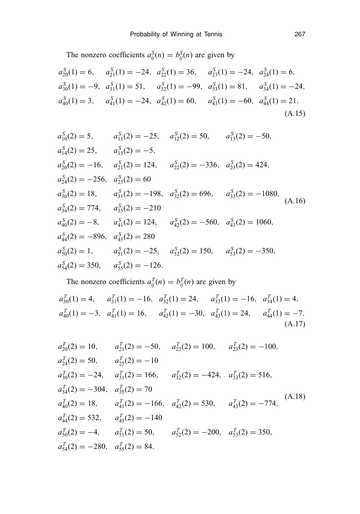The nonzero coefficients  $a_{ij}^S(n) = b_{ij}^S(n)$  are given by

$$
a_{20}^{S}(1) = 6, \t a_{21}^{S}(1) = -24, \t a_{22}^{S}(1) = 36, \t a_{23}^{S}(1) = -24, \t a_{24}^{S}(1) = 6,
$$
  
\n
$$
a_{30}^{S}(1) = -9, \t a_{31}^{S}(1) = 51, \t a_{32}^{S}(1) = -99, \t a_{33}^{S}(1) = 81, \t a_{34}^{S}(1) = -24,
$$
  
\n
$$
a_{40}^{S}(1) = 3, \t a_{41}^{S}(1) = -24, \t a_{42}^{S}(1) = 60, \t a_{43}^{S}(1) = -60, \t a_{44}^{S}(1) = 21.
$$
\n(A.15)

$$
a_{10}^{S}(2) = 5, \t a_{11}^{S}(2) = -25, \t a_{12}^{S}(2) = 50, \t a_{13}^{S}(2) = -50,
$$
  
\n
$$
a_{14}^{S}(2) = 25, \t a_{15}^{S}(2) = -5,
$$
  
\n
$$
a_{20}^{S}(2) = -16, \t a_{21}^{S}(2) = 124, \t a_{22}^{S}(2) = -336, \t a_{23}^{S}(2) = 424,
$$
  
\n
$$
a_{24}^{S}(2) = -256, \t a_{25}^{S}(2) = 60
$$
  
\n
$$
a_{30}^{S}(2) = 18, \t a_{31}^{S}(2) = -198, \t a_{32}^{S}(2) = 696, \t a_{33}^{S}(2) = -1080,
$$
  
\n
$$
a_{34}^{S}(2) = 774, \t a_{35}^{S}(2) = -210
$$
  
\n
$$
a_{40}^{S}(2) = -8, \t a_{41}^{S}(2) = 124, \t a_{42}^{S}(2) = -560, \t a_{43}^{S}(2) = 1060,
$$
  
\n
$$
a_{44}^{S}(2) = -896, \t a_{45}^{S}(2) = 280
$$
  
\n
$$
a_{50}^{S}(2) = 1, \t a_{51}^{S}(2) = -25, \t a_{52}^{S}(2) = 150, \t a_{53}^{S}(2) = -350,
$$
  
\n
$$
a_{54}^{S}(2) = 350, \t a_{55}^{S}(2) = -126.
$$
\n(A.16)

The nonzero coefficients  $a_{ij}^T(n) = b_{ij}^T(n)$  are given by  $a_{30}^T(1) = 4$ ,  $a_{31}^T(1) = -16$ ,  $a_{32}^T(1) = 24$ ,  $a_{33}^T(1) = -16$ ,  $a_{34}^T(1) = 4$ ,  $a_{40}^T(1) = -3$ ,  $a_{41}^T(1) = 16$ ,  $a_{42}^T(1) = -30$ ,  $a_{43}^T(1) = 24$ ,  $a_{44}^T(1) = -7$ . (A.17)

$$
a_{20}^T(2) = 10, \t a_{21}^T(2) = -50, \t a_{22}^T(2) = 100, \t a_{23}^T(2) = -100,
$$
  
\n
$$
a_{24}^T(2) = 50, \t a_{25}^T(2) = -10
$$
  
\n
$$
a_{30}^T(2) = -24, \t a_{31}^T(2) = 166, \t a_{32}^T(2) = -424, \t a_{33}^T(2) = 516,
$$
  
\n
$$
a_{34}^T(2) = -304, \t a_{35}^T(2) = 70
$$
  
\n
$$
a_{40}^T(2) = 18, \t a_{41}^T(2) = -166, \t a_{42}^T(2) = 530, \t a_{43}^T(2) = -774,
$$
  
\n
$$
a_{44}^T(2) = 532, \t a_{45}^T(2) = -140
$$
  
\n
$$
a_{50}^T(2) = -4, \t a_{51}^T(2) = 50, \t a_{52}^T(2) = -200, \t a_{53}^T(2) = 350,
$$
  
\n
$$
a_{54}^T(2) = -280, \t a_{55}^T(2) = 84.
$$
  
\n(A.18)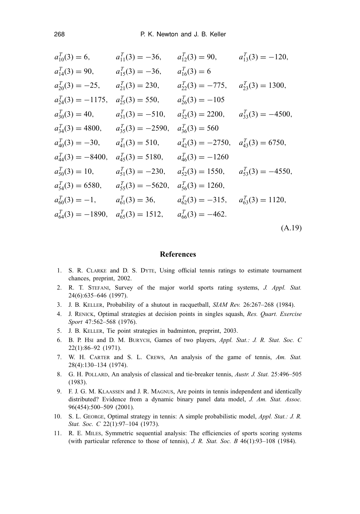$$
a_{10}^T(3) = 6, \t a_{11}^T(3) = -36, \t a_{12}^T(3) = 90, \t a_{13}^T(3) = -120,
$$
  
\n
$$
a_{14}^T(3) = 90, \t a_{15}^T(3) = -36, \t a_{16}^T(3) = 6
$$
  
\n
$$
a_{20}^T(3) = -25, \t a_{21}^T(3) = 230, \t a_{22}^T(3) = -775, \t a_{23}^T(3) = 1300,
$$
  
\n
$$
a_{24}^T(3) = -1175, \t a_{25}^T(3) = 550, \t a_{26}^T(3) = -105
$$
  
\n
$$
a_{30}^T(3) = 40, \t a_{31}^T(3) = -510, \t a_{32}^T(3) = 2200, \t a_{33}^T(3) = -4500,
$$
  
\n
$$
a_{34}^T(3) = 4800, \t a_{35}^T(3) = -2590, \t a_{36}^T(3) = 560
$$
  
\n
$$
a_{40}^T(3) = -30, \t a_{41}^T(3) = 510, \t a_{42}^T(3) = -2750, \t a_{43}^T(3) = 6750,
$$
  
\n
$$
a_{44}^T(3) = -8400, \t a_{45}^T(3) = 5180, \t a_{46}^T(3) = -1260
$$
  
\n
$$
a_{50}^T(3) = 10, \t a_{51}^T(3) = -230, \t a_{52}^T(3) = 1550, \t a_{53}^T(3) = -4550,
$$
  
\n
$$
a_{46}^T(3) = 6580, \t a_{55}^T(3) = -5620, \t a_{56}^T(3) = 1260,
$$
  
\n
$$
a_{60}^T(3) = -1, \t a_{61}^T(3) = 36, \t a_{
$$

## **References**

- 1. S. R. CLARKE and D. S. DYTE, Using official tennis ratings to estimate tournament chances, preprint, 2002.
- 2. R. T. STEFANI, Survey of the major world sports rating systems, *J. Appl. Stat.* 24(6):635–646 (1997).
- 3. J. B. KELLER, Probability of a shutout in racquetball, *SIAM Rev.* 26:267–268 (1984).
- 4. J. RENICK, Optimal strategies at decision points in singles squash, *Res. Quart. Exercise Sport* 47:562–568 (1976).
- 5. J. B. KELLER, Tie point strategies in badminton, preprint, 2003.
- 6. B. P. HSI and D. M. BURYCH, Games of two players, *Appl. Stat.: J. R. Stat. Soc. C* 22(1):86–92 (1971).
- 7. W. H. CARTER and S. L. CREWS, An analysis of the game of tennis, *Am. Stat.* 28(4):130–134 (1974).
- 8. G. H. POLLARD, An analysis of classical and tie-breaker tennis, *Austr. J. Stat.* 25:496–505 (1983).
- 9. F. J. G. M. KLAASSEN and J. R. MAGNUS, Are points in tennis independent and identically distributed? Evidence from a dynamic binary panel data model, *J. Am. Stat. Assoc.* 96(454):500–509 (2001).
- 10. S. L. GEORGE, Optimal strategy in tennis: A simple probabilistic model, *Appl. Stat.: J. R. Stat. Soc. C* 22(1):97–104 (1973).
- 11. R. E. MILES, Symmetric sequential analysis: The efficiencies of sports scoring systems (with particular reference to those of tennis), *J. R. Stat. Soc. B* 46(1):93–108 (1984).